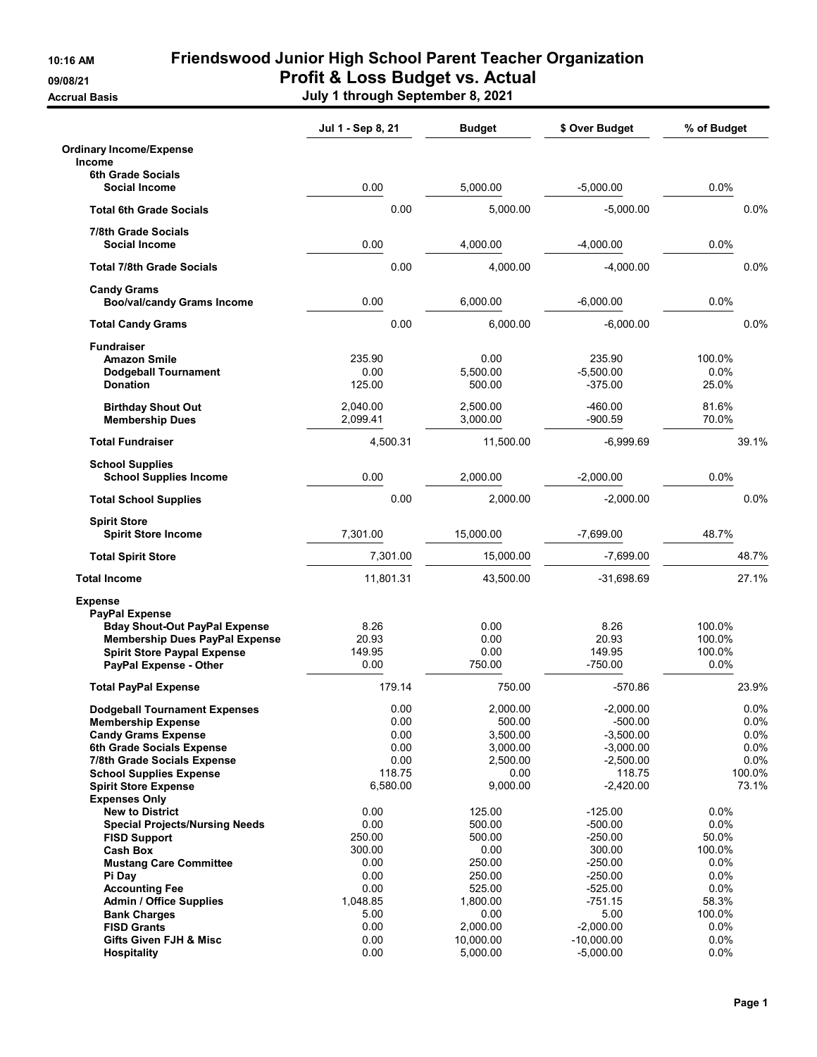## 10:16 AM Friendswood Junior High School Parent Teacher Organization 09/08/21 **Profit & Loss Budget vs. Actual**

Accrual Basis July 1 through September 8, 2021

|                                                                                                                                                                                                                                         | Jul 1 - Sep 8, 21                                                    | <b>Budget</b>                                                                | \$ Over Budget                                                                                 | % of Budget                                                            |
|-----------------------------------------------------------------------------------------------------------------------------------------------------------------------------------------------------------------------------------------|----------------------------------------------------------------------|------------------------------------------------------------------------------|------------------------------------------------------------------------------------------------|------------------------------------------------------------------------|
| <b>Ordinary Income/Expense</b><br>Income                                                                                                                                                                                                |                                                                      |                                                                              |                                                                                                |                                                                        |
| <b>6th Grade Socials</b><br><b>Social Income</b>                                                                                                                                                                                        | 0.00                                                                 | 5,000.00                                                                     | $-5,000.00$                                                                                    | 0.0%                                                                   |
| <b>Total 6th Grade Socials</b>                                                                                                                                                                                                          | 0.00                                                                 | 5,000.00                                                                     | $-5,000.00$                                                                                    | 0.0%                                                                   |
| 7/8th Grade Socials<br>Social Income                                                                                                                                                                                                    | 0.00                                                                 | 4.000.00                                                                     | $-4,000.00$                                                                                    | 0.0%                                                                   |
| <b>Total 7/8th Grade Socials</b>                                                                                                                                                                                                        | 0.00                                                                 | 4.000.00                                                                     | $-4,000.00$                                                                                    | 0.0%                                                                   |
| <b>Candy Grams</b><br><b>Boo/val/candy Grams Income</b>                                                                                                                                                                                 | 0.00                                                                 | 6,000.00                                                                     | $-6,000.00$                                                                                    | 0.0%                                                                   |
| <b>Total Candy Grams</b>                                                                                                                                                                                                                | 0.00                                                                 | 6,000.00                                                                     | $-6,000.00$                                                                                    | 0.0%                                                                   |
| <b>Fundraiser</b><br><b>Amazon Smile</b><br><b>Dodgeball Tournament</b><br><b>Donation</b>                                                                                                                                              | 235.90<br>0.00<br>125.00                                             | 0.00<br>5,500.00<br>500.00                                                   | 235.90<br>$-5,500.00$<br>$-375.00$                                                             | 100.0%<br>0.0%<br>25.0%                                                |
| <b>Birthday Shout Out</b><br><b>Membership Dues</b>                                                                                                                                                                                     | 2,040.00<br>2,099.41                                                 | 2.500.00<br>3,000.00                                                         | $-460.00$<br>$-900.59$                                                                         | 81.6%<br>70.0%                                                         |
| <b>Total Fundraiser</b>                                                                                                                                                                                                                 | 4,500.31                                                             | 11,500.00                                                                    | $-6,999.69$                                                                                    | 39.1%                                                                  |
| <b>School Supplies</b><br><b>School Supplies Income</b>                                                                                                                                                                                 | 0.00                                                                 | 2,000.00                                                                     | $-2,000.00$                                                                                    | 0.0%                                                                   |
| <b>Total School Supplies</b>                                                                                                                                                                                                            | 0.00                                                                 | 2.000.00                                                                     | $-2,000.00$                                                                                    | 0.0%                                                                   |
| <b>Spirit Store</b><br><b>Spirit Store Income</b>                                                                                                                                                                                       | 7,301.00                                                             | 15,000.00                                                                    | $-7,699.00$                                                                                    | 48.7%                                                                  |
| <b>Total Spirit Store</b>                                                                                                                                                                                                               | 7,301.00                                                             | 15,000.00                                                                    | $-7,699.00$                                                                                    | 48.7%                                                                  |
| <b>Total Income</b>                                                                                                                                                                                                                     | 11,801.31                                                            | 43,500.00                                                                    | $-31,698.69$                                                                                   | 27.1%                                                                  |
| <b>Expense</b><br><b>PayPal Expense</b><br><b>Bday Shout-Out PayPal Expense</b><br><b>Membership Dues PayPal Expense</b><br><b>Spirit Store Paypal Expense</b><br>PayPal Expense - Other                                                | 8.26<br>20.93<br>149.95<br>0.00                                      | 0.00<br>0.00<br>0.00<br>750.00                                               | 8.26<br>20.93<br>149.95<br>$-750.00$                                                           | 100.0%<br>100.0%<br>100.0%<br>0.0%                                     |
| <b>Total PayPal Expense</b>                                                                                                                                                                                                             | 179.14                                                               | 750.00                                                                       | $-570.86$                                                                                      | 23.9%                                                                  |
| <b>Dodgeball Tournament Expenses</b><br><b>Membership Expense</b><br><b>Candy Grams Expense</b><br>6th Grade Socials Expense<br>7/8th Grade Socials Expense<br><b>School Supplies Expense</b><br><b>Spirit Store Expense</b>            | 0.00<br>0.00<br>0.00<br>0.00<br>0.00<br>118.75<br>6,580.00           | 2,000.00<br>500.00<br>3,500.00<br>3,000.00<br>2,500.00<br>0.00<br>9,000.00   | $-2,000.00$<br>$-500.00$<br>$-3,500.00$<br>$-3,000.00$<br>$-2,500.00$<br>118.75<br>$-2,420.00$ | 0.0%<br>0.0%<br>0.0%<br>0.0%<br>0.0%<br>100.0%<br>73.1%                |
| <b>Expenses Only</b><br><b>New to District</b><br><b>Special Projects/Nursing Needs</b><br><b>FISD Support</b><br><b>Cash Box</b><br><b>Mustang Care Committee</b><br>Pi Day<br><b>Accounting Fee</b><br><b>Admin / Office Supplies</b> | 0.00<br>0.00<br>250.00<br>300.00<br>0.00<br>0.00<br>0.00<br>1,048.85 | 125.00<br>500.00<br>500.00<br>0.00<br>250.00<br>250.00<br>525.00<br>1,800.00 | $-125.00$<br>$-500.00$<br>$-250.00$<br>300.00<br>-250.00<br>-250.00<br>$-525.00$<br>-751.15    | $0.0\%$<br>0.0%<br>50.0%<br>100.0%<br>$0.0\%$<br>0.0%<br>0.0%<br>58.3% |
| <b>Bank Charges</b><br><b>FISD Grants</b><br>Gifts Given FJH & Misc<br><b>Hospitality</b>                                                                                                                                               | 5.00<br>0.00<br>0.00<br>0.00                                         | 0.00<br>2,000.00<br>10,000.00<br>5,000.00                                    | 5.00<br>$-2,000.00$<br>$-10,000.00$<br>$-5,000.00$                                             | 100.0%<br>$0.0\%$<br>0.0%<br>0.0%                                      |